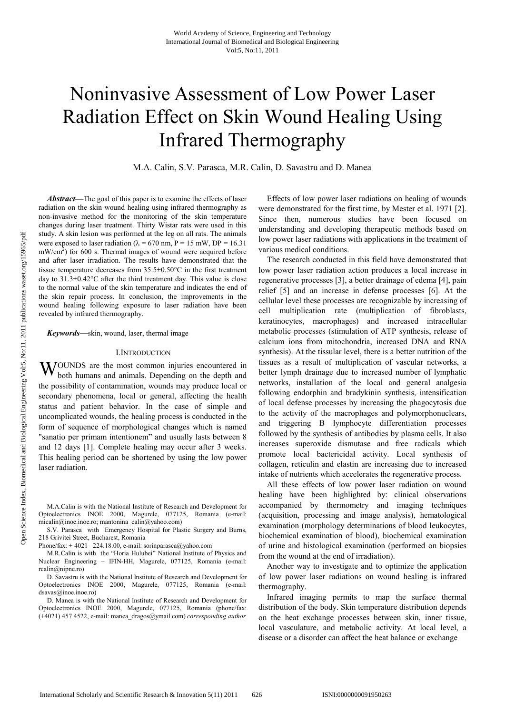# Noninvasive Assessment of Low Power Laser Radiation Effect on Skin Wound Healing Using Infrared Thermography

M.A. Calin, S.V. Parasca, M.R. Calin, D. Savastru and D. Manea

*Abstract***—**The goal of this paper is to examine the effects of laser radiation on the skin wound healing using infrared thermography as non-invasive method for the monitoring of the skin temperature changes during laser treatment. Thirty Wistar rats were used in this study. A skin lesion was performed at the leg on all rats. The animals were exposed to laser radiation ( $\lambda = 670$  nm, P = 15 mW, DP = 16.31  $mW/cm<sup>2</sup>$ ) for 600 s. Thermal images of wound were acquired before and after laser irradiation. The results have demonstrated that the tissue temperature decreases from 35.5±0.50°C in the first treatment day to 31.3±0.42°C after the third treatment day. This value is close to the normal value of the skin temperature and indicates the end of the skin repair process. In conclusion, the improvements in the wound healing following exposure to laser radiation have been revealed by infrared thermography.

*Keywords***—**skin, wound, laser, thermal image

## I.INTRODUCTION

WOUNDS are the most common injuries encountered in both humans and animals. Depending on the depth and both humans and animals. Depending on the depth and the possibility of contamination, wounds may produce local or secondary phenomena, local or general, affecting the health status and patient behavior. In the case of simple and uncomplicated wounds, the healing process is conducted in the form of sequence of morphological changes which is named "sanatio per primam intentionem" and usually lasts between 8 and 12 days [1]. Complete healing may occur after 3 weeks. This healing period can be shortened by using the low power laser radiation.

M.A.Calin is with the National Institute of Research and Development for Optoelectronics INOE 2000, Magurele, 077125, Romania (e-mail: micalin@inoe.inoe.ro; mantonina\_calin@yahoo.com)

S.V. Parasca with Emergency Hospital for Plastic Surgery and Burns, 218 Grivitei Street, Bucharest, Romania

Phone/fax:  $+4021 - 224.18.00$ , e-mail: sorinparasca@yahoo.com

 M.R.Calin is with the "Horia Hulubei" National Institute of Physics and Nuclear Engineering – IFIN-HH, Magurele, 077125, Romania (e-mail: rcalin@nipne.ro)

 D. Savastru is with the National Institute of Research and Development for Optoelectronics INOE 2000, Magurele, 077125, Romania (e-mail: dsavas@inoe.inoe.ro)

 D. Manea is with the National Institute of Research and Development for Optoelectronics INOE 2000, Magurele, 077125, Romania (phone/fax: (+4021) 457 4522, e-mail: manea\_dragos@ymail.com) *corresponding author*

Effects of low power laser radiations on healing of wounds were demonstrated for the first time, by Mester et al. 1971 [2]. Since then, numerous studies have been focused on understanding and developing therapeutic methods based on low power laser radiations with applications in the treatment of various medical conditions.

The research conducted in this field have demonstrated that low power laser radiation action produces a local increase in regenerative processes [3], a better drainage of edema [4], pain relief [5] and an increase in defense processes [6]. At the cellular level these processes are recognizable by increasing of cell multiplication rate (multiplication of fibroblasts, keratinocytes, macrophages) and increased intracellular metabolic processes (stimulation of ATP synthesis, release of calcium ions from mitochondria, increased DNA and RNA synthesis). At the tissular level, there is a better nutrition of the tissues as a result of multiplication of vascular networks, a better lymph drainage due to increased number of lymphatic networks, installation of the local and general analgesia following endorphin and bradykinin synthesis, intensification of local defense processes by increasing the phagocytosis due to the activity of the macrophages and polymorphonuclears, and triggering B lymphocyte differentiation processes followed by the synthesis of antibodies by plasma cells. It also increases superoxide dismutase and free radicals which promote local bactericidal activity. Local synthesis of collagen, reticulin and elastin are increasing due to increased intake of nutrients which accelerates the regenerative process.

All these effects of low power laser radiation on wound healing have been highlighted by: clinical observations accompanied by thermometry and imaging techniques (acquisition, processing and image analysis), hematological examination (morphology determinations of blood leukocytes, biochemical examination of blood), biochemical examination of urine and histological examination (performed on biopsies from the wound at the end of irradiation).

Another way to investigate and to optimize the application of low power laser radiations on wound healing is infrared thermography.

Infrared imaging permits to map the surface thermal distribution of the body. Skin temperature distribution depends on the heat exchange processes between skin, inner tissue, local vasculature, and metabolic activity. At local level, a disease or a disorder can affect the heat balance or exchange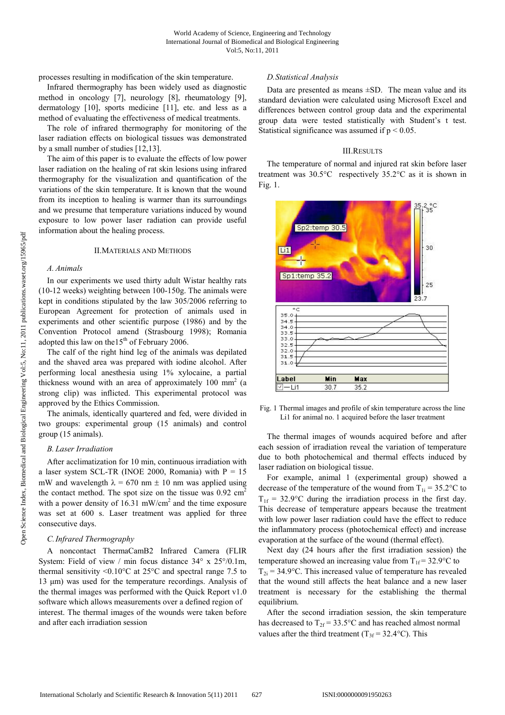processes resulting in modification of the skin temperature.

Infrared thermography has been widely used as diagnostic method in oncology [7], neurology [8], rheumatology [9], dermatology [10], sports medicine [11], etc. and less as a method of evaluating the effectiveness of medical treatments.

The role of infrared thermography for monitoring of the laser radiation effects on biological tissues was demonstrated by a small number of studies [12,13].

 The aim of this paper is to evaluate the effects of low power laser radiation on the healing of rat skin lesions using infrared thermography for the visualization and quantification of the variations of the skin temperature. It is known that the wound from its inception to healing is warmer than its surroundings and we presume that temperature variations induced by wound exposure to low power laser radiation can provide useful information about the healing process.

## II.MATERIALS AND METHODS

#### *A. Animals*

In our experiments we used thirty adult Wistar healthy rats (10-12 weeks) weighting between 100-150g. The animals were kept in conditions stipulated by the law 305/2006 referring to European Agreement for protection of animals used in experiments and other scientific purpose (1986) and by the Convention Protocol amend (Strasbourg 1998); Romania adopted this law on the  $15<sup>th</sup>$  of February 2006.

The calf of the right hind leg of the animals was depilated and the shaved area was prepared with iodine alcohol. After performing local anesthesia using 1% xylocaine, a partial thickness wound with an area of approximately 100 mm<sup>2</sup> (a strong clip) was inflicted. This experimental protocol was approved by the Ethics Commission.

The animals, identically quartered and fed, were divided in two groups: experimental group (15 animals) and control group (15 animals).

## *B. Laser Irradiation*

After acclimatization for 10 min, continuous irradiation with a laser system SCL-TR (INOE 2000, Romania) with  $P = 15$ mW and wavelength  $\lambda = 670$  nm  $\pm$  10 nm was applied using the contact method. The spot size on the tissue was  $0.92 \text{ cm}^2$ with a power density of 16.31 mW/cm<sup>2</sup> and the time exposure was set at 600 s. Laser treatment was applied for three consecutive days.

## *C.Infrared Thermography*

A noncontact ThermaCamB2 Infrared Camera (FLIR System: Field of view / min focus distance 34° x 25°/0.1m, thermal sensitivity  $\leq 0.10^{\circ}$ C at 25°C and spectral range 7.5 to 13 µm) was used for the temperature recordings. Analysis of the thermal images was performed with the Quick Report v1.0 software which allows measurements over a defined region of interest. The thermal images of the wounds were taken before and after each irradiation session

## *D.Statistical Analysis*

Data are presented as means  $\pm SD$ . The mean value and its standard deviation were calculated using Microsoft Excel and differences between control group data and the experimental group data were tested statistically with Student's t test. Statistical significance was assumed if  $p < 0.05$ .

## III.RESULTS

The temperature of normal and injured rat skin before laser treatment was 30.5°C respectively 35.2°C as it is shown in Fig. 1.



Fig. 1 Thermal images and profile of skin temperature across the line Li1 for animal no. 1 acquired before the laser treatment

The thermal images of wounds acquired before and after each session of irradiation reveal the variation of temperature due to both photochemical and thermal effects induced by laser radiation on biological tissue.

For example, animal 1 (experimental group) showed a decrease of the temperature of the wound from  $T_{1i} = 35.2$ °C to  $T_{1f}$  = 32.9°C during the irradiation process in the first day. This decrease of temperature appears because the treatment with low power laser radiation could have the effect to reduce the inflammatory process (photochemical effect) and increase evaporation at the surface of the wound (thermal effect).

Next day (24 hours after the first irradiation session) the temperature showed an increasing value from  $T_{1f} = 32.9$ °C to  $T_{2i}$  = 34.9°C. This increased value of temperature has revealed that the wound still affects the heat balance and a new laser treatment is necessary for the establishing the thermal equilibrium.

After the second irradiation session, the skin temperature has decreased to  $T_{2f} = 33.5$ °C and has reached almost normal values after the third treatment ( $T_{3f} = 32.4$ °C). This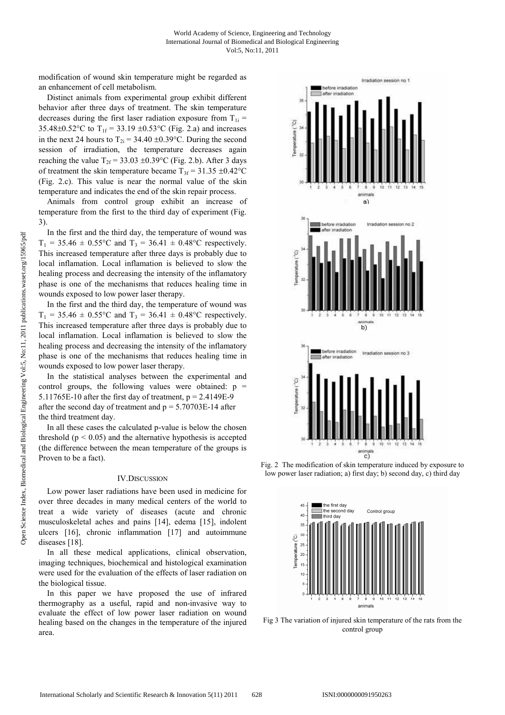modification of wound skin temperature might be regarded as an enhancement of cell metabolism.

Distinct animals from experimental group exhibit different behavior after three days of treatment. The skin temperature decreases during the first laser radiation exposure from  $T_{1i}$  = 35.48 $\pm$ 0.52°C to T<sub>1f</sub> = 33.19  $\pm$ 0.53°C (Fig. 2.a) and increases in the next 24 hours to  $T_{2i} = 34.40 \pm 0.39$ °C. During the second session of irradiation, the temperature decreases again reaching the value  $T_{2f} = 33.03 \pm 0.39$ °C (Fig. 2.b). After 3 days of treatment the skin temperature became  $T_{3f} = 31.35 \pm 0.42$ °C (Fig. 2.c). This value is near the normal value of the skin temperature and indicates the end of the skin repair process.

Animals from control group exhibit an increase of temperature from the first to the third day of experiment (Fig. 3).

In the first and the third day, the temperature of wound was  $T_1 = 35.46 \pm 0.55$ °C and  $T_3 = 36.41 \pm 0.48$ °C respectively. This increased temperature after three days is probably due to local inflamation. Local inflamation is believed to slow the healing process and decreasing the intensity of the inflamatory phase is one of the mechanisms that reduces healing time in wounds exposed to low power laser therapy.

In the first and the third day, the temperature of wound was  $T_1 = 35.46 \pm 0.55^{\circ}\text{C}$  and  $T_3 = 36.41 \pm 0.48^{\circ}\text{C}$  respectively. This increased temperature after three days is probably due to local inflamation. Local inflamation is believed to slow the healing process and decreasing the intensity of the inflamatory phase is one of the mechanisms that reduces healing time in wounds exposed to low power laser therapy.

In the statistical analyses between the experimental and control groups, the following values were obtained:  $p =$ 5.11765E-10 after the first day of treatment,  $p = 2.4149E-9$ after the second day of treatment and  $p = 5.70703E-14$  after the third treatment day.

In all these cases the calculated p-value is below the chosen threshold  $(p < 0.05)$  and the alternative hypothesis is accepted (the difference between the mean temperature of the groups is Proven to be a fact).

#### IV.DISCUSSION

Low power laser radiations have been used in medicine for over three decades in many medical centers of the world to treat a wide variety of diseases (acute and chronic musculoskeletal aches and pains [14], edema [15], indolent ulcers [16], chronic inflammation [17] and autoimmune diseases [18].

In all these medical applications, clinical observation, imaging techniques, biochemical and histological examination were used for the evaluation of the effects of laser radiation on the biological tissue.

In this paper we have proposed the use of infrared thermography as a useful, rapid and non-invasive way to evaluate the effect of low power laser radiation on wound healing based on the changes in the temperature of the injured area.



Fig. 2 The modification of skin temperature induced by exposure to low power laser radiation; a) first day; b) second day, c) third day



Fig 3 The variation of injured skin temperature of the rats from the control group